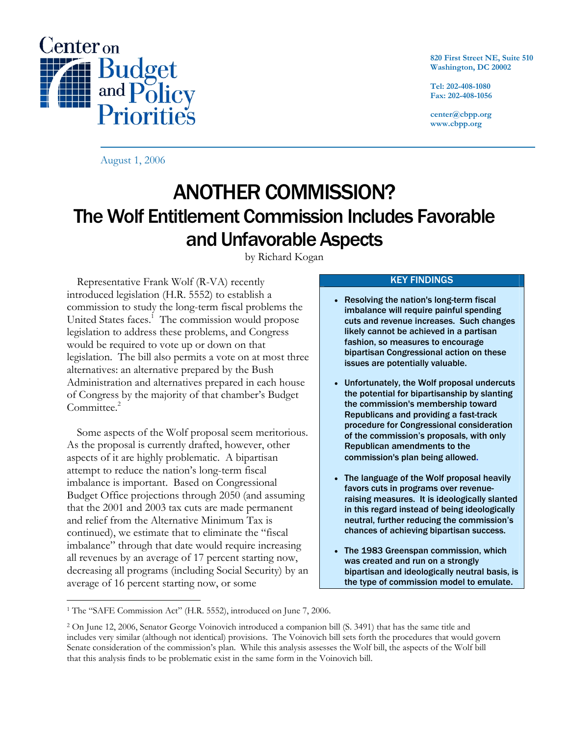

**820 First Street NE, Suite 510 Washington, DC 20002** 

**Tel: 202-408-1080 Fax: 202-408-1056** 

**center@cbpp.org www.cbpp.org** 

August 1, 2006

# ANOTHER COMMISSION? The Wolf Entitlement Commission Includes Favorable and Unfavorable Aspects

by Richard Kogan

 Representative Frank Wolf (R-VA) recently introduced legislation (H.R. 5552) to establish a commission to study the long-term fiscal problems the United States faces.<sup>1</sup> The commission would propose legislation to address these problems, and Congress would be required to vote up or down on that legislation. The bill also permits a vote on at most three alternatives: an alternative prepared by the Bush Administration and alternatives prepared in each house of Congress by the majority of that chamber's Budget Committee.<sup>2</sup>

 Some aspects of the Wolf proposal seem meritorious. As the proposal is currently drafted, however, other aspects of it are highly problematic. A bipartisan attempt to reduce the nation's long-term fiscal imbalance is important. Based on Congressional Budget Office projections through 2050 (and assuming that the 2001 and 2003 tax cuts are made permanent and relief from the Alternative Minimum Tax is continued), we estimate that to eliminate the "fiscal imbalance" through that date would require increasing all revenues by an average of 17 percent starting now, decreasing all programs (including Social Security) by an average of 16 percent starting now, or some

## KEY FINDINGS

- Resolving the nation's long-term fiscal imbalance will require painful spending cuts and revenue increases. Such changes likely cannot be achieved in a partisan fashion, so measures to encourage bipartisan Congressional action on these issues are potentially valuable.
- Unfortunately, the Wolf proposal undercuts the potential for bipartisanship by slanting the commission's membership toward Republicans and providing a fast-track procedure for Congressional consideration of the commission's proposals, with only Republican amendments to the commission's plan being allowed.
- The language of the Wolf proposal heavily favors cuts in programs over revenueraising measures. It is ideologically slanted in this regard instead of being ideologically neutral, further reducing the commission's chances of achieving bipartisan success.
- The 1983 Greenspan commission, which was created and run on a strongly bipartisan and ideologically neutral basis, is the type of commission model to emulate.

<sup>-</sup><sup>1</sup> The "SAFE Commission Act" (H.R. 5552), introduced on June 7, 2006.

<sup>2</sup> On June 12, 2006, Senator George Voinovich introduced a companion bill (S. 3491) that has the same title and includes very similar (although not identical) provisions. The Voinovich bill sets forth the procedures that would govern Senate consideration of the commission's plan. While this analysis assesses the Wolf bill, the aspects of the Wolf bill that this analysis finds to be problematic exist in the same form in the Voinovich bill.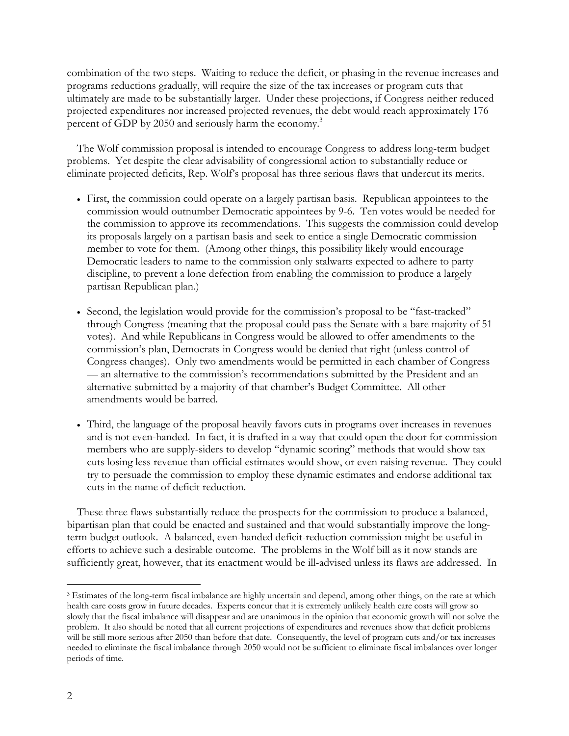combination of the two steps. Waiting to reduce the deficit, or phasing in the revenue increases and programs reductions gradually, will require the size of the tax increases or program cuts that ultimately are made to be substantially larger. Under these projections, if Congress neither reduced projected expenditures nor increased projected revenues, the debt would reach approximately 176 percent of GDP by 2050 and seriously harm the economy.<sup>3</sup>

 The Wolf commission proposal is intended to encourage Congress to address long-term budget problems. Yet despite the clear advisability of congressional action to substantially reduce or eliminate projected deficits, Rep. Wolf's proposal has three serious flaws that undercut its merits.

- First, the commission could operate on a largely partisan basis. Republican appointees to the commission would outnumber Democratic appointees by 9-6. Ten votes would be needed for the commission to approve its recommendations. This suggests the commission could develop its proposals largely on a partisan basis and seek to entice a single Democratic commission member to vote for them. (Among other things, this possibility likely would encourage Democratic leaders to name to the commission only stalwarts expected to adhere to party discipline, to prevent a lone defection from enabling the commission to produce a largely partisan Republican plan.)
- Second, the legislation would provide for the commission's proposal to be "fast-tracked" through Congress (meaning that the proposal could pass the Senate with a bare majority of 51 votes). And while Republicans in Congress would be allowed to offer amendments to the commission's plan, Democrats in Congress would be denied that right (unless control of Congress changes). Only two amendments would be permitted in each chamber of Congress — an alternative to the commission's recommendations submitted by the President and an alternative submitted by a majority of that chamber's Budget Committee. All other amendments would be barred.
- Third, the language of the proposal heavily favors cuts in programs over increases in revenues and is not even-handed. In fact, it is drafted in a way that could open the door for commission members who are supply-siders to develop "dynamic scoring" methods that would show tax cuts losing less revenue than official estimates would show, or even raising revenue. They could try to persuade the commission to employ these dynamic estimates and endorse additional tax cuts in the name of deficit reduction.

 These three flaws substantially reduce the prospects for the commission to produce a balanced, bipartisan plan that could be enacted and sustained and that would substantially improve the longterm budget outlook. A balanced, even-handed deficit-reduction commission might be useful in efforts to achieve such a desirable outcome. The problems in the Wolf bill as it now stands are sufficiently great, however, that its enactment would be ill-advised unless its flaws are addressed. In

 $\overline{a}$ 

<sup>&</sup>lt;sup>3</sup> Estimates of the long-term fiscal imbalance are highly uncertain and depend, among other things, on the rate at which health care costs grow in future decades. Experts concur that it is extremely unlikely health care costs will grow so slowly that the fiscal imbalance will disappear and are unanimous in the opinion that economic growth will not solve the problem. It also should be noted that all current projections of expenditures and revenues show that deficit problems will be still more serious after 2050 than before that date. Consequently, the level of program cuts and/or tax increases needed to eliminate the fiscal imbalance through 2050 would not be sufficient to eliminate fiscal imbalances over longer periods of time.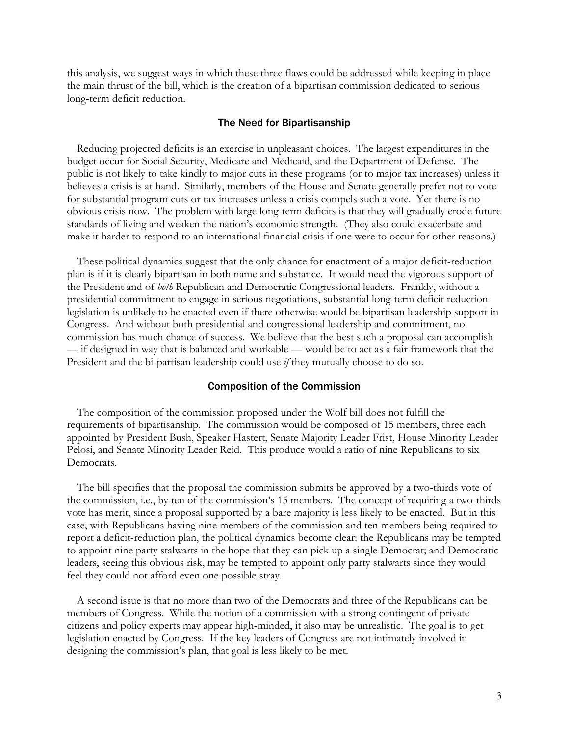this analysis, we suggest ways in which these three flaws could be addressed while keeping in place the main thrust of the bill, which is the creation of a bipartisan commission dedicated to serious long-term deficit reduction.

## The Need for Bipartisanship

 Reducing projected deficits is an exercise in unpleasant choices. The largest expenditures in the budget occur for Social Security, Medicare and Medicaid, and the Department of Defense. The public is not likely to take kindly to major cuts in these programs (or to major tax increases) unless it believes a crisis is at hand. Similarly, members of the House and Senate generally prefer not to vote for substantial program cuts or tax increases unless a crisis compels such a vote. Yet there is no obvious crisis now. The problem with large long-term deficits is that they will gradually erode future standards of living and weaken the nation's economic strength. (They also could exacerbate and make it harder to respond to an international financial crisis if one were to occur for other reasons.)

 These political dynamics suggest that the only chance for enactment of a major deficit-reduction plan is if it is clearly bipartisan in both name and substance. It would need the vigorous support of the President and of *both* Republican and Democratic Congressional leaders. Frankly, without a presidential commitment to engage in serious negotiations, substantial long-term deficit reduction legislation is unlikely to be enacted even if there otherwise would be bipartisan leadership support in Congress. And without both presidential and congressional leadership and commitment, no commission has much chance of success. We believe that the best such a proposal can accomplish — if designed in way that is balanced and workable — would be to act as a fair framework that the President and the bi-partisan leadership could use *if* they mutually choose to do so.

#### Composition of the Commission

 The composition of the commission proposed under the Wolf bill does not fulfill the requirements of bipartisanship. The commission would be composed of 15 members, three each appointed by President Bush, Speaker Hastert, Senate Majority Leader Frist, House Minority Leader Pelosi, and Senate Minority Leader Reid. This produce would a ratio of nine Republicans to six Democrats.

 The bill specifies that the proposal the commission submits be approved by a two-thirds vote of the commission, i.e., by ten of the commission's 15 members. The concept of requiring a two-thirds vote has merit, since a proposal supported by a bare majority is less likely to be enacted. But in this case, with Republicans having nine members of the commission and ten members being required to report a deficit-reduction plan, the political dynamics become clear: the Republicans may be tempted to appoint nine party stalwarts in the hope that they can pick up a single Democrat; and Democratic leaders, seeing this obvious risk, may be tempted to appoint only party stalwarts since they would feel they could not afford even one possible stray.

 A second issue is that no more than two of the Democrats and three of the Republicans can be members of Congress. While the notion of a commission with a strong contingent of private citizens and policy experts may appear high-minded, it also may be unrealistic. The goal is to get legislation enacted by Congress. If the key leaders of Congress are not intimately involved in designing the commission's plan, that goal is less likely to be met.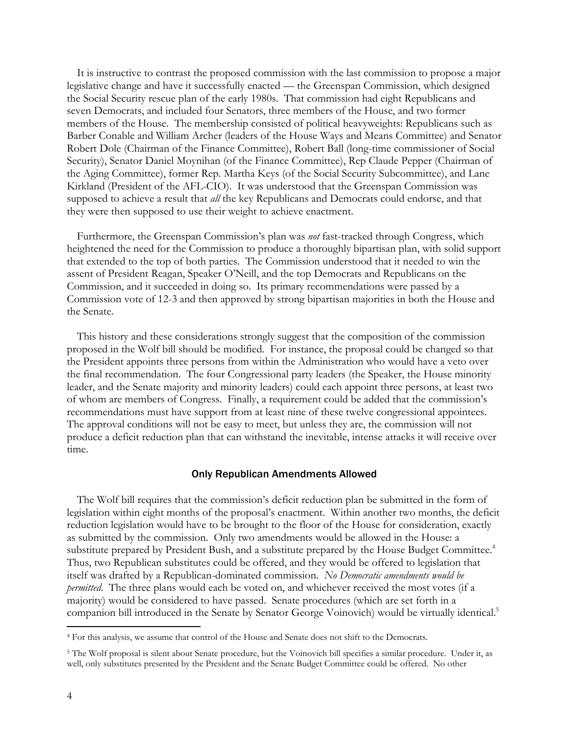It is instructive to contrast the proposed commission with the last commission to propose a major legislative change and have it successfully enacted — the Greenspan Commission, which designed the Social Security rescue plan of the early 1980s. That commission had eight Republicans and seven Democrats, and included four Senators, three members of the House, and two former members of the House. The membership consisted of political heavyweights: Republicans such as Barber Conable and William Archer (leaders of the House Ways and Means Committee) and Senator Robert Dole (Chairman of the Finance Committee), Robert Ball (long-time commissioner of Social Security), Senator Daniel Moynihan (of the Finance Committee), Rep Claude Pepper (Chairman of the Aging Committee), former Rep. Martha Keys (of the Social Security Subcommittee), and Lane Kirkland (President of the AFL-CIO). It was understood that the Greenspan Commission was supposed to achieve a result that *all* the key Republicans and Democrats could endorse, and that they were then supposed to use their weight to achieve enactment.

 Furthermore, the Greenspan Commission's plan was *not* fast-tracked through Congress, which heightened the need for the Commission to produce a thoroughly bipartisan plan, with solid support that extended to the top of both parties. The Commission understood that it needed to win the assent of President Reagan, Speaker O'Neill, and the top Democrats and Republicans on the Commission, and it succeeded in doing so. Its primary recommendations were passed by a Commission vote of 12-3 and then approved by strong bipartisan majorities in both the House and the Senate.

 This history and these considerations strongly suggest that the composition of the commission proposed in the Wolf bill should be modified. For instance, the proposal could be changed so that the President appoints three persons from within the Administration who would have a veto over the final recommendation. The four Congressional party leaders (the Speaker, the House minority leader, and the Senate majority and minority leaders) could each appoint three persons, at least two of whom are members of Congress. Finally, a requirement could be added that the commission's recommendations must have support from at least nine of these twelve congressional appointees. The approval conditions will not be easy to meet, but unless they are, the commission will not produce a deficit reduction plan that can withstand the inevitable, intense attacks it will receive over time.

#### Only Republican Amendments Allowed

 The Wolf bill requires that the commission's deficit reduction plan be submitted in the form of legislation within eight months of the proposal's enactment. Within another two months, the deficit reduction legislation would have to be brought to the floor of the House for consideration, exactly as submitted by the commission. Only two amendments would be allowed in the House: a substitute prepared by President Bush, and a substitute prepared by the House Budget Committee.<sup>4</sup> Thus, two Republican substitutes could be offered, and they would be offered to legislation that itself was drafted by a Republican-dominated commission. *No Democratic amendments would be permitted*. The three plans would each be voted on, and whichever received the most votes (if a majority) would be considered to have passed. Senate procedures (which are set forth in a companion bill introduced in the Senate by Senator George Voinovich) would be virtually identical.<sup>5</sup>

-

<sup>4</sup> For this analysis, we assume that control of the House and Senate does not shift to the Democrats.

<sup>5</sup> The Wolf proposal is silent about Senate procedure, but the Voinovich bill specifies a similar procedure. Under it, as well, only substitutes presented by the President and the Senate Budget Committee could be offered. No other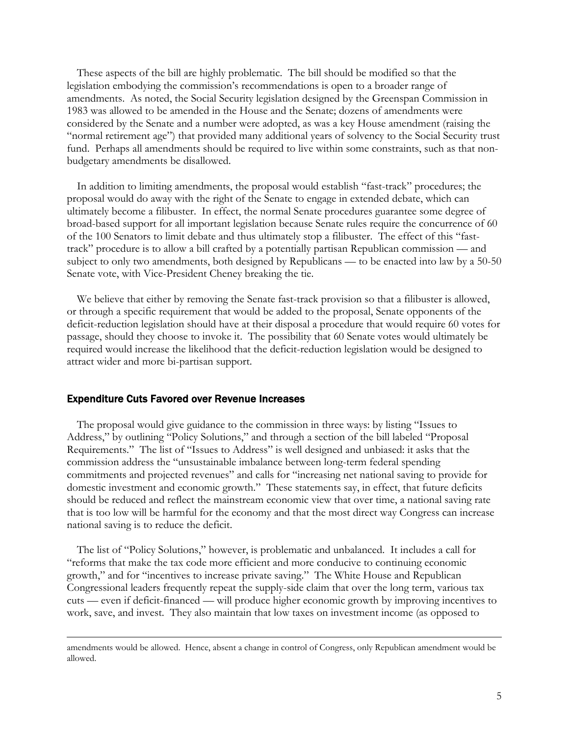These aspects of the bill are highly problematic. The bill should be modified so that the legislation embodying the commission's recommendations is open to a broader range of amendments. As noted, the Social Security legislation designed by the Greenspan Commission in 1983 was allowed to be amended in the House and the Senate; dozens of amendments were considered by the Senate and a number were adopted, as was a key House amendment (raising the "normal retirement age") that provided many additional years of solvency to the Social Security trust fund. Perhaps all amendments should be required to live within some constraints, such as that nonbudgetary amendments be disallowed.

 In addition to limiting amendments, the proposal would establish "fast-track" procedures; the proposal would do away with the right of the Senate to engage in extended debate, which can ultimately become a filibuster. In effect, the normal Senate procedures guarantee some degree of broad-based support for all important legislation because Senate rules require the concurrence of 60 of the 100 Senators to limit debate and thus ultimately stop a filibuster. The effect of this "fasttrack" procedure is to allow a bill crafted by a potentially partisan Republican commission — and subject to only two amendments, both designed by Republicans — to be enacted into law by a 50-50 Senate vote, with Vice-President Cheney breaking the tie.

 We believe that either by removing the Senate fast-track provision so that a filibuster is allowed, or through a specific requirement that would be added to the proposal, Senate opponents of the deficit-reduction legislation should have at their disposal a procedure that would require 60 votes for passage, should they choose to invoke it. The possibility that 60 Senate votes would ultimately be required would increase the likelihood that the deficit-reduction legislation would be designed to attract wider and more bi-partisan support.

## Expenditure Cuts Favored over Revenue Increases

The proposal would give guidance to the commission in three ways: by listing "Issues to Address," by outlining "Policy Solutions," and through a section of the bill labeled "Proposal Requirements." The list of "Issues to Address" is well designed and unbiased: it asks that the commission address the "unsustainable imbalance between long-term federal spending commitments and projected revenues" and calls for "increasing net national saving to provide for domestic investment and economic growth." These statements say, in effect, that future deficits should be reduced and reflect the mainstream economic view that over time, a national saving rate that is too low will be harmful for the economy and that the most direct way Congress can increase national saving is to reduce the deficit.

 The list of "Policy Solutions," however, is problematic and unbalanced. It includes a call for "reforms that make the tax code more efficient and more conducive to continuing economic growth," and for "incentives to increase private saving." The White House and Republican Congressional leaders frequently repeat the supply-side claim that over the long term, various tax cuts — even if deficit-financed — will produce higher economic growth by improving incentives to work, save, and invest. They also maintain that low taxes on investment income (as opposed to

amendments would be allowed. Hence, absent a change in control of Congress, only Republican amendment would be allowed.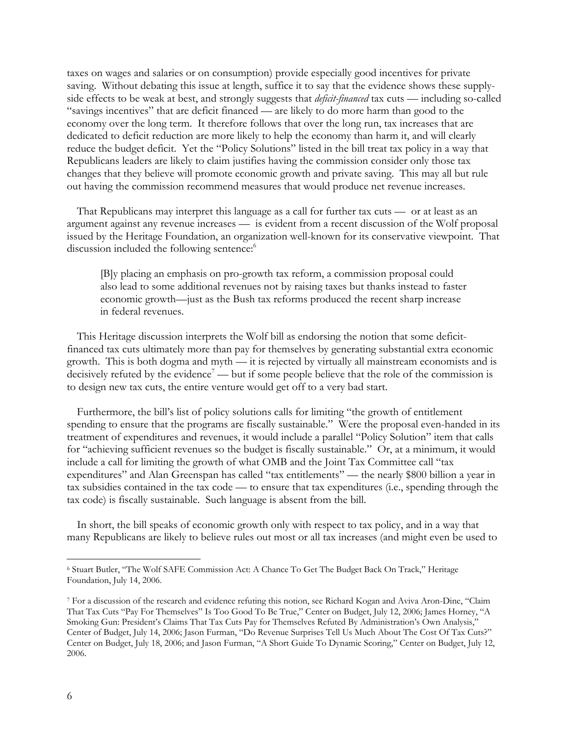taxes on wages and salaries or on consumption) provide especially good incentives for private saving. Without debating this issue at length, suffice it to say that the evidence shows these supplyside effects to be weak at best, and strongly suggests that *deficit-financed* tax cuts — including so-called "savings incentives" that are deficit financed — are likely to do more harm than good to the economy over the long term. It therefore follows that over the long run, tax increases that are dedicated to deficit reduction are more likely to help the economy than harm it, and will clearly reduce the budget deficit. Yet the "Policy Solutions" listed in the bill treat tax policy in a way that Republicans leaders are likely to claim justifies having the commission consider only those tax changes that they believe will promote economic growth and private saving. This may all but rule out having the commission recommend measures that would produce net revenue increases.

 That Republicans may interpret this language as a call for further tax cuts — or at least as an argument against any revenue increases — is evident from a recent discussion of the Wolf proposal issued by the Heritage Foundation, an organization well-known for its conservative viewpoint. That discussion included the following sentence:<sup>6</sup>

[B]y placing an emphasis on pro-growth tax reform, a commission proposal could also lead to some additional revenues not by raising taxes but thanks instead to faster economic growth—just as the Bush tax reforms produced the recent sharp increase in federal revenues.

 This Heritage discussion interprets the Wolf bill as endorsing the notion that some deficitfinanced tax cuts ultimately more than pay for themselves by generating substantial extra economic growth. This is both dogma and myth — it is rejected by virtually all mainstream economists and is decisively refuted by the evidence<sup>7</sup> — but if some people believe that the role of the commission is to design new tax cuts, the entire venture would get off to a very bad start.

 Furthermore, the bill's list of policy solutions calls for limiting "the growth of entitlement spending to ensure that the programs are fiscally sustainable." Were the proposal even-handed in its treatment of expenditures and revenues, it would include a parallel "Policy Solution" item that calls for "achieving sufficient revenues so the budget is fiscally sustainable." Or, at a minimum, it would include a call for limiting the growth of what OMB and the Joint Tax Committee call "tax expenditures" and Alan Greenspan has called "tax entitlements" — the nearly \$800 billion a year in tax subsidies contained in the tax code — to ensure that tax expenditures (i.e., spending through the tax code) is fiscally sustainable. Such language is absent from the bill.

 In short, the bill speaks of economic growth only with respect to tax policy, and in a way that many Republicans are likely to believe rules out most or all tax increases (and might even be used to

-

<sup>6</sup> Stuart Butler, "The Wolf SAFE Commission Act: A Chance To Get The Budget Back On Track," Heritage Foundation, July 14, 2006.

<sup>7</sup> For a discussion of the research and evidence refuting this notion, see Richard Kogan and Aviva Aron-Dine, "Claim That Tax Cuts "Pay For Themselves" Is Too Good To Be True," Center on Budget, July 12, 2006; James Horney, "A Smoking Gun: President's Claims That Tax Cuts Pay for Themselves Refuted By Administration's Own Analysis," Center of Budget, July 14, 2006; Jason Furman, "Do Revenue Surprises Tell Us Much About The Cost Of Tax Cuts?" Center on Budget, July 18, 2006; and Jason Furman, "A Short Guide To Dynamic Scoring," Center on Budget, July 12, 2006.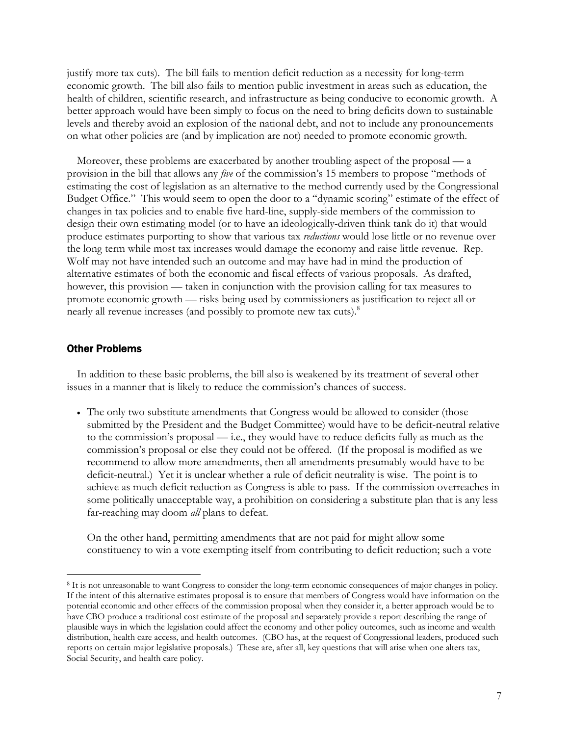justify more tax cuts). The bill fails to mention deficit reduction as a necessity for long-term economic growth. The bill also fails to mention public investment in areas such as education, the health of children, scientific research, and infrastructure as being conducive to economic growth. A better approach would have been simply to focus on the need to bring deficits down to sustainable levels and thereby avoid an explosion of the national debt, and not to include any pronouncements on what other policies are (and by implication are not) needed to promote economic growth.

 Moreover, these problems are exacerbated by another troubling aspect of the proposal — a provision in the bill that allows any *five* of the commission's 15 members to propose "methods of estimating the cost of legislation as an alternative to the method currently used by the Congressional Budget Office." This would seem to open the door to a "dynamic scoring" estimate of the effect of changes in tax policies and to enable five hard-line, supply-side members of the commission to design their own estimating model (or to have an ideologically-driven think tank do it) that would produce estimates purporting to show that various tax *reductions* would lose little or no revenue over the long term while most tax increases would damage the economy and raise little revenue. Rep. Wolf may not have intended such an outcome and may have had in mind the production of alternative estimates of both the economic and fiscal effects of various proposals. As drafted, however, this provision — taken in conjunction with the provision calling for tax measures to promote economic growth — risks being used by commissioners as justification to reject all or nearly all revenue increases (and possibly to promote new tax cuts).<sup>8</sup>

## Other Problems

-

 In addition to these basic problems, the bill also is weakened by its treatment of several other issues in a manner that is likely to reduce the commission's chances of success.

• The only two substitute amendments that Congress would be allowed to consider (those submitted by the President and the Budget Committee) would have to be deficit-neutral relative to the commission's proposal — i.e., they would have to reduce deficits fully as much as the commission's proposal or else they could not be offered. (If the proposal is modified as we recommend to allow more amendments, then all amendments presumably would have to be deficit-neutral.) Yet it is unclear whether a rule of deficit neutrality is wise. The point is to achieve as much deficit reduction as Congress is able to pass. If the commission overreaches in some politically unacceptable way, a prohibition on considering a substitute plan that is any less far-reaching may doom *all* plans to defeat.

On the other hand, permitting amendments that are not paid for might allow some constituency to win a vote exempting itself from contributing to deficit reduction; such a vote

<sup>8</sup> It is not unreasonable to want Congress to consider the long-term economic consequences of major changes in policy. If the intent of this alternative estimates proposal is to ensure that members of Congress would have information on the potential economic and other effects of the commission proposal when they consider it, a better approach would be to have CBO produce a traditional cost estimate of the proposal and separately provide a report describing the range of plausible ways in which the legislation could affect the economy and other policy outcomes, such as income and wealth distribution, health care access, and health outcomes. (CBO has, at the request of Congressional leaders, produced such reports on certain major legislative proposals.) These are, after all, key questions that will arise when one alters tax, Social Security, and health care policy.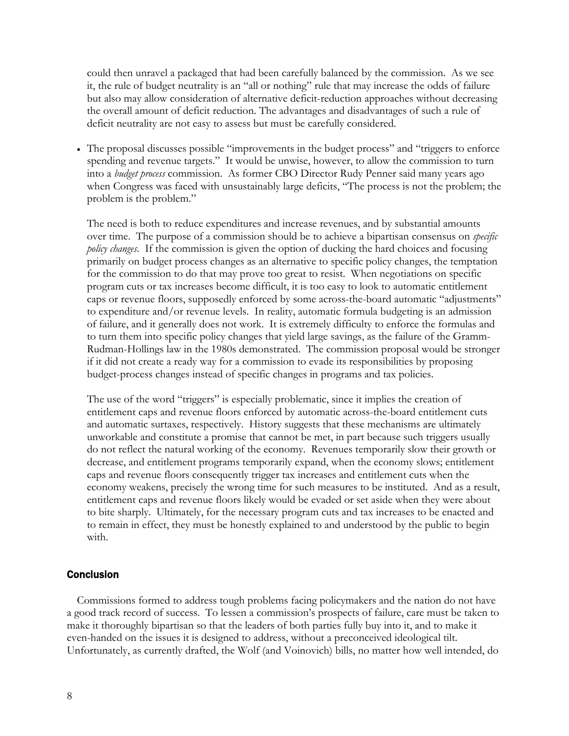could then unravel a packaged that had been carefully balanced by the commission. As we see it, the rule of budget neutrality is an "all or nothing" rule that may increase the odds of failure but also may allow consideration of alternative deficit-reduction approaches without decreasing the overall amount of deficit reduction. The advantages and disadvantages of such a rule of deficit neutrality are not easy to assess but must be carefully considered.

• The proposal discusses possible "improvements in the budget process" and "triggers to enforce spending and revenue targets." It would be unwise, however, to allow the commission to turn into a *budget process* commission. As former CBO Director Rudy Penner said many years ago when Congress was faced with unsustainably large deficits, "The process is not the problem; the problem is the problem."

The need is both to reduce expenditures and increase revenues, and by substantial amounts over time. The purpose of a commission should be to achieve a bipartisan consensus on *specific policy changes*. If the commission is given the option of ducking the hard choices and focusing primarily on budget process changes as an alternative to specific policy changes, the temptation for the commission to do that may prove too great to resist. When negotiations on specific program cuts or tax increases become difficult, it is too easy to look to automatic entitlement caps or revenue floors, supposedly enforced by some across-the-board automatic "adjustments" to expenditure and/or revenue levels. In reality, automatic formula budgeting is an admission of failure, and it generally does not work. It is extremely difficulty to enforce the formulas and to turn them into specific policy changes that yield large savings, as the failure of the Gramm-Rudman-Hollings law in the 1980s demonstrated. The commission proposal would be stronger if it did not create a ready way for a commission to evade its responsibilities by proposing budget-process changes instead of specific changes in programs and tax policies.

The use of the word "triggers" is especially problematic, since it implies the creation of entitlement caps and revenue floors enforced by automatic across-the-board entitlement cuts and automatic surtaxes, respectively. History suggests that these mechanisms are ultimately unworkable and constitute a promise that cannot be met, in part because such triggers usually do not reflect the natural working of the economy. Revenues temporarily slow their growth or decrease, and entitlement programs temporarily expand, when the economy slows; entitlement caps and revenue floors consequently trigger tax increases and entitlement cuts when the economy weakens, precisely the wrong time for such measures to be instituted. And as a result, entitlement caps and revenue floors likely would be evaded or set aside when they were about to bite sharply. Ultimately, for the necessary program cuts and tax increases to be enacted and to remain in effect, they must be honestly explained to and understood by the public to begin with.

## **Conclusion**

 Commissions formed to address tough problems facing policymakers and the nation do not have a good track record of success. To lessen a commission's prospects of failure, care must be taken to make it thoroughly bipartisan so that the leaders of both parties fully buy into it, and to make it even-handed on the issues it is designed to address, without a preconceived ideological tilt. Unfortunately, as currently drafted, the Wolf (and Voinovich) bills, no matter how well intended, do